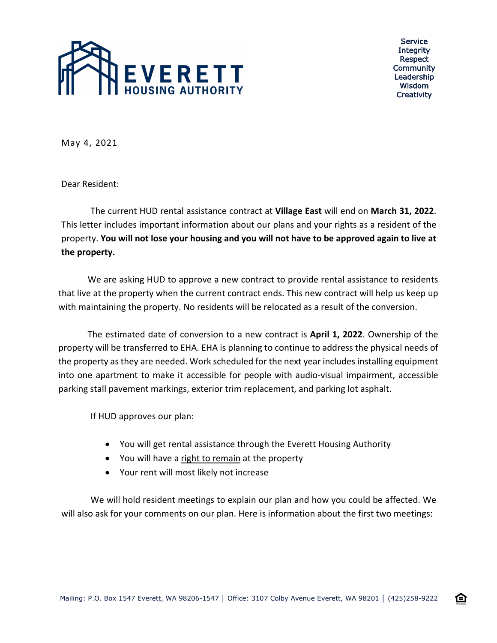

Service **Integrity** Respect Community Leadership Wisdom **Creativity** 

企

May 4, 2021

Dear Resident:

The current HUD rental assistance contract at **Village East** will end on **March 31, 2022**. This letter includes important information about our plans and your rights as a resident of the property. **You will not lose your housing and you will not have to be approved again to live at the property.**

We are asking HUD to approve a new contract to provide rental assistance to residents that live at the property when the current contract ends. This new contract will help us keep up with maintaining the property. No residents will be relocated as a result of the conversion.

The estimated date of conversion to a new contract is **April 1, 2022**. Ownership of the property will be transferred to EHA. EHA is planning to continue to address the physical needs of the property as they are needed. Work scheduled for the next year includes installing equipment into one apartment to make it accessible for people with audio-visual impairment, accessible parking stall pavement markings, exterior trim replacement, and parking lot asphalt.

If HUD approves our plan:

- You will get rental assistance through the Everett Housing Authority
- You will have a right to remain at the property
- Your rent will most likely not increase

We will hold resident meetings to explain our plan and how you could be affected. We will also ask for your comments on our plan. Here is information about the first two meetings: